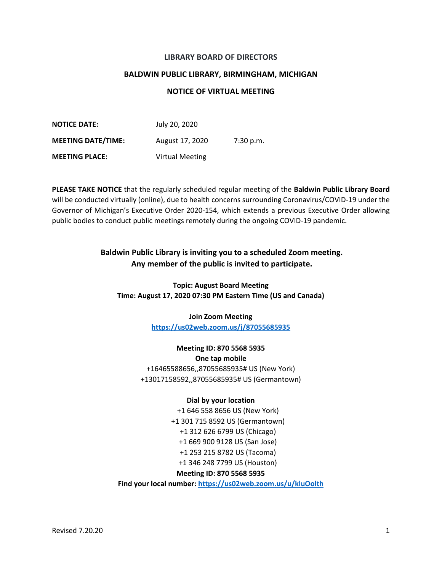## **LIBRARY BOARD OF DIRECTORS**

### **BALDWIN PUBLIC LIBRARY, BIRMINGHAM, MICHIGAN**

## **NOTICE OF VIRTUAL MEETING**

| <b>NOTICE DATE:</b>       | July 20, 2020          |           |
|---------------------------|------------------------|-----------|
| <b>MEETING DATE/TIME:</b> | August 17, 2020        | 7:30 p.m. |
| <b>MEETING PLACE:</b>     | <b>Virtual Meeting</b> |           |

**PLEASE TAKE NOTICE** that the regularly scheduled regular meeting of the **Baldwin Public Library Board** will be conducted virtually (online), due to health concerns surrounding Coronavirus/COVID-19 under the Governor of Michigan's Executive Order 2020-154, which extends a previous Executive Order allowing public bodies to conduct public meetings remotely during the ongoing COVID-19 pandemic.

# **Baldwin Public Library is inviting you to a scheduled Zoom meeting. Any member of the public is invited to participate.**

**Topic: August Board Meeting Time: August 17, 2020 07:30 PM Eastern Time (US and Canada)**

> **Join Zoom Meeting <https://us02web.zoom.us/j/87055685935>**

**Meeting ID: 870 5568 5935 One tap mobile** +16465588656,,87055685935# US (New York) +13017158592,,87055685935# US (Germantown)

### **Dial by your location**

+1 646 558 8656 US (New York) +1 301 715 8592 US (Germantown) +1 312 626 6799 US (Chicago) +1 669 900 9128 US (San Jose) +1 253 215 8782 US (Tacoma) +1 346 248 7799 US (Houston)

### **Meeting ID: 870 5568 5935**

**Find your local number: <https://us02web.zoom.us/u/kluOolth>**